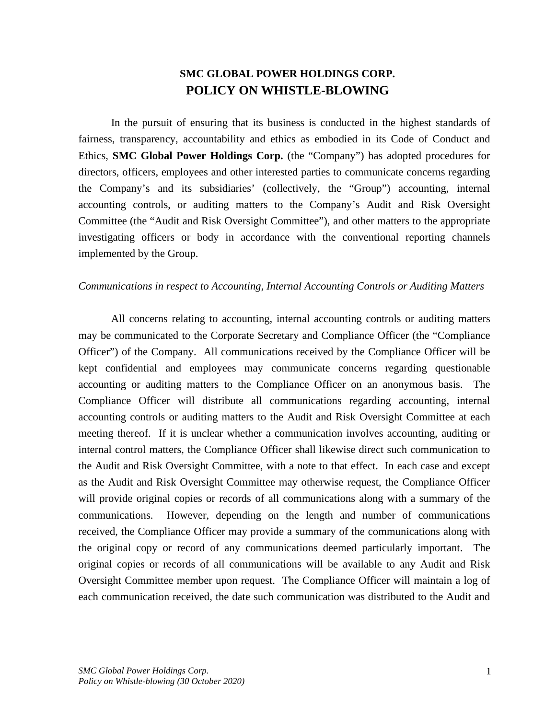## **SMC GLOBAL POWER HOLDINGS CORP. POLICY ON WHISTLE-BLOWING**

In the pursuit of ensuring that its business is conducted in the highest standards of fairness, transparency, accountability and ethics as embodied in its Code of Conduct and Ethics, **SMC Global Power Holdings Corp.** (the "Company") has adopted procedures for directors, officers, employees and other interested parties to communicate concerns regarding the Company's and its subsidiaries' (collectively, the "Group") accounting, internal accounting controls, or auditing matters to the Company's Audit and Risk Oversight Committee (the "Audit and Risk Oversight Committee"), and other matters to the appropriate investigating officers or body in accordance with the conventional reporting channels implemented by the Group.

## *Communications in respect to Accounting, Internal Accounting Controls or Auditing Matters*

All concerns relating to accounting, internal accounting controls or auditing matters may be communicated to the Corporate Secretary and Compliance Officer (the "Compliance Officer") of the Company. All communications received by the Compliance Officer will be kept confidential and employees may communicate concerns regarding questionable accounting or auditing matters to the Compliance Officer on an anonymous basis. The Compliance Officer will distribute all communications regarding accounting, internal accounting controls or auditing matters to the Audit and Risk Oversight Committee at each meeting thereof. If it is unclear whether a communication involves accounting, auditing or internal control matters, the Compliance Officer shall likewise direct such communication to the Audit and Risk Oversight Committee, with a note to that effect. In each case and except as the Audit and Risk Oversight Committee may otherwise request, the Compliance Officer will provide original copies or records of all communications along with a summary of the communications. However, depending on the length and number of communications received, the Compliance Officer may provide a summary of the communications along with the original copy or record of any communications deemed particularly important. The original copies or records of all communications will be available to any Audit and Risk Oversight Committee member upon request. The Compliance Officer will maintain a log of each communication received, the date such communication was distributed to the Audit and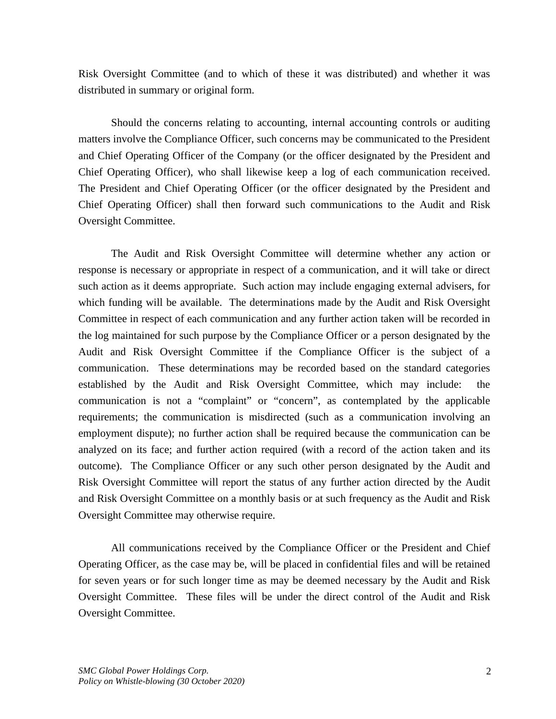Risk Oversight Committee (and to which of these it was distributed) and whether it was distributed in summary or original form.

Should the concerns relating to accounting, internal accounting controls or auditing matters involve the Compliance Officer, such concerns may be communicated to the President and Chief Operating Officer of the Company (or the officer designated by the President and Chief Operating Officer), who shall likewise keep a log of each communication received. The President and Chief Operating Officer (or the officer designated by the President and Chief Operating Officer) shall then forward such communications to the Audit and Risk Oversight Committee.

The Audit and Risk Oversight Committee will determine whether any action or response is necessary or appropriate in respect of a communication, and it will take or direct such action as it deems appropriate. Such action may include engaging external advisers, for which funding will be available. The determinations made by the Audit and Risk Oversight Committee in respect of each communication and any further action taken will be recorded in the log maintained for such purpose by the Compliance Officer or a person designated by the Audit and Risk Oversight Committee if the Compliance Officer is the subject of a communication. These determinations may be recorded based on the standard categories established by the Audit and Risk Oversight Committee, which may include: the communication is not a "complaint" or "concern", as contemplated by the applicable requirements; the communication is misdirected (such as a communication involving an employment dispute); no further action shall be required because the communication can be analyzed on its face; and further action required (with a record of the action taken and its outcome). The Compliance Officer or any such other person designated by the Audit and Risk Oversight Committee will report the status of any further action directed by the Audit and Risk Oversight Committee on a monthly basis or at such frequency as the Audit and Risk Oversight Committee may otherwise require.

All communications received by the Compliance Officer or the President and Chief Operating Officer, as the case may be, will be placed in confidential files and will be retained for seven years or for such longer time as may be deemed necessary by the Audit and Risk Oversight Committee. These files will be under the direct control of the Audit and Risk Oversight Committee.